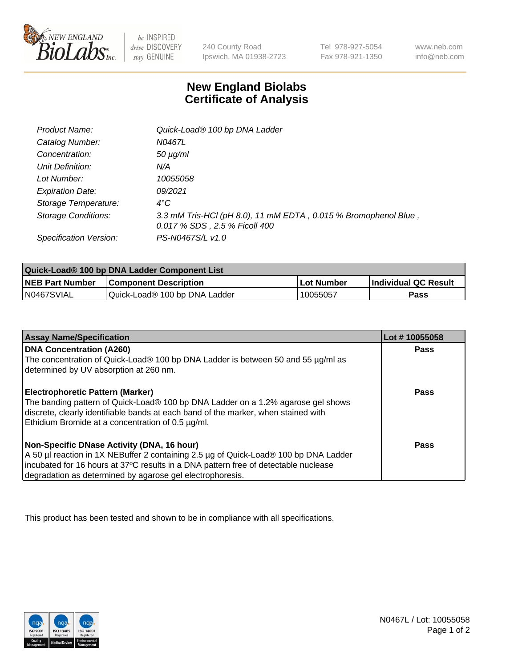

 $be$  INSPIRED drive DISCOVERY stay GENUINE

240 County Road Ipswich, MA 01938-2723 Tel 978-927-5054 Fax 978-921-1350 www.neb.com info@neb.com

## **New England Biolabs Certificate of Analysis**

| Product Name:              | Quick-Load® 100 bp DNA Ladder                                                                    |
|----------------------------|--------------------------------------------------------------------------------------------------|
| Catalog Number:            | N0467L                                                                                           |
| Concentration:             | <i>50 µg/ml</i>                                                                                  |
| Unit Definition:           | N/A                                                                                              |
| Lot Number:                | 10055058                                                                                         |
| <b>Expiration Date:</b>    | 09/2021                                                                                          |
| Storage Temperature:       | $4^{\circ}$ C                                                                                    |
| <b>Storage Conditions:</b> | 3.3 mM Tris-HCl (pH 8.0), 11 mM EDTA, 0.015 % Bromophenol Blue,<br>0.017 % SDS, 2.5 % Ficoll 400 |
| Specification Version:     | PS-N0467S/L v1.0                                                                                 |

| Quick-Load® 100 bp DNA Ladder Component List |                               |            |                             |  |
|----------------------------------------------|-------------------------------|------------|-----------------------------|--|
| <b>NEB Part Number</b>                       | <b>Component Description</b>  | Lot Number | <b>Individual QC Result</b> |  |
| N0467SVIAL                                   | Quick-Load® 100 bp DNA Ladder | 10055057   | <b>Pass</b>                 |  |

| <b>Assay Name/Specification</b>                                                                                                         | Lot #10055058 |
|-----------------------------------------------------------------------------------------------------------------------------------------|---------------|
| <b>DNA Concentration (A260)</b><br>The concentration of Quick-Load® 100 bp DNA Ladder is between 50 and 55 µg/ml as                     | <b>Pass</b>   |
| determined by UV absorption at 260 nm.                                                                                                  |               |
| <b>Electrophoretic Pattern (Marker)</b>                                                                                                 | Pass          |
| The banding pattern of Quick-Load® 100 bp DNA Ladder on a 1.2% agarose gel shows                                                        |               |
| discrete, clearly identifiable bands at each band of the marker, when stained with<br>Ethidium Bromide at a concentration of 0.5 µg/ml. |               |
| Non-Specific DNase Activity (DNA, 16 hour)                                                                                              | Pass          |
| A 50 µl reaction in 1X NEBuffer 2 containing 2.5 µg of Quick-Load® 100 bp DNA Ladder                                                    |               |
| incubated for 16 hours at 37°C results in a DNA pattern free of detectable nuclease                                                     |               |
| degradation as determined by agarose gel electrophoresis.                                                                               |               |

This product has been tested and shown to be in compliance with all specifications.